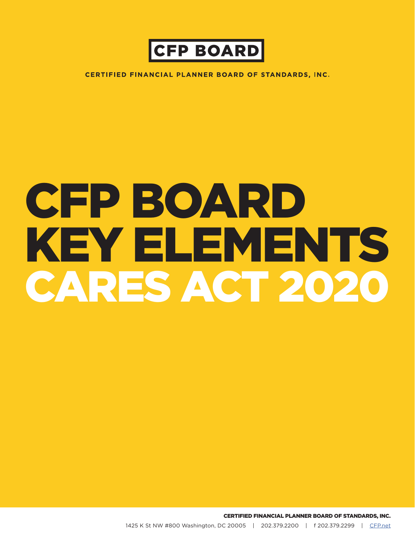

**CERTIFIED FINANCIAL PLANNER BOARD OF STANDARDS, INC.** 

# CFP BOARD KEY ELEMENTS CARES ACT 2020

CERTIFIED FINANCIAL PLANNER BOARD OF STANDARDS, INC.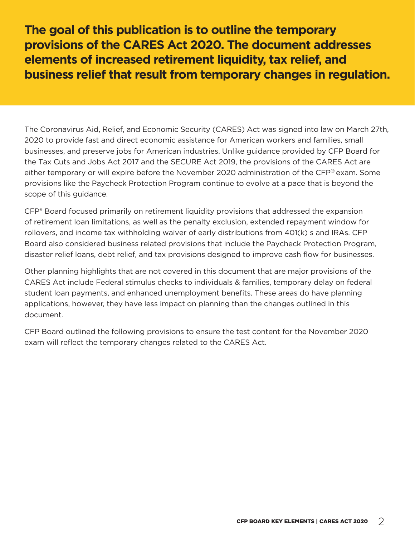**The goal of this publication is to outline the temporary provisions of the CARES Act 2020. The document addresses elements of increased retirement liquidity, tax relief, and business relief that result from temporary changes in regulation.**

The Coronavirus Aid, Relief, and Economic Security (CARES) Act was signed into law on March 27th, 2020 to provide fast and direct economic assistance for American workers and families, small businesses, and preserve jobs for American industries. Unlike guidance provided by CFP Board for the Tax Cuts and Jobs Act 2017 and the SECURE Act 2019, the provisions of the CARES Act are either temporary or will expire before the November 2020 administration of the  $\text{CFP}^{\circledast}$  exam. Some provisions like the Paycheck Protection Program continue to evolve at a pace that is beyond the scope of this guidance.

CFP® Board focused primarily on retirement liquidity provisions that addressed the expansion of retirement loan limitations, as well as the penalty exclusion, extended repayment window for rollovers, and income tax withholding waiver of early distributions from 401(k) s and IRAs. CFP Board also considered business related provisions that include the Paycheck Protection Program, disaster relief loans, debt relief, and tax provisions designed to improve cash flow for businesses.

Other planning highlights that are not covered in this document that are major provisions of the CARES Act include Federal stimulus checks to individuals & families, temporary delay on federal student loan payments, and enhanced unemployment benefits. These areas do have planning applications, however, they have less impact on planning than the changes outlined in this document.

CFP Board outlined the following provisions to ensure the test content for the November 2020 exam will reflect the temporary changes related to the CARES Act.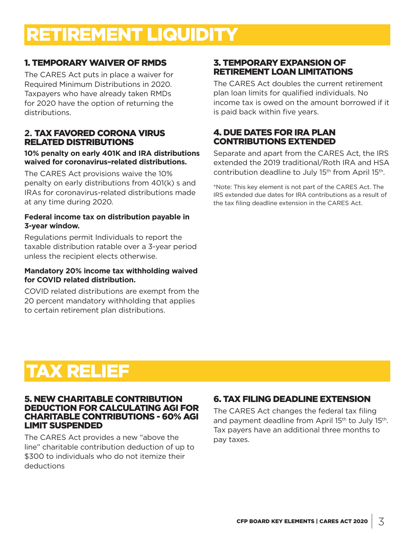# RETIREMENT LIQUIDITY

# 1. TEMPORARY WAIVER OF RMDS

The CARES Act puts in place a waiver for Required Minimum Distributions in 2020. Taxpayers who have already taken RMDs for 2020 have the option of returning the distributions.

## **2.** TAX FAVORED CORONA VIRUS RELATED DISTRIBUTIONS

#### **10% penalty on early 401K and IRA distributions waived for coronavirus–related distributions.**

The CARES Act provisions waive the 10% penalty on early distributions from 401(k) s and IRAs for coronavirus-related distributions made at any time during 2020.

#### **Federal income tax on distribution payable in 3-year window.**

Regulations permit Individuals to report the taxable distribution ratable over a 3-year period unless the recipient elects otherwise.

#### **Mandatory 20% income tax withholding waived for COVID related distribution.**

COVID related distributions are exempt from the 20 percent mandatory withholding that applies to certain retirement plan distributions.

# 3. TEMPORARY EXPANSION OF RETIREMENT LOAN LIMITATIONS

The CARES Act doubles the current retirement plan loan limits for qualified individuals. No income tax is owed on the amount borrowed if it is paid back within five years.

# 4. DUE DATES FOR IRA PLAN CONTRIBUTIONS EXTENDED

Separate and apart from the CARES Act, the IRS extended the 2019 traditional/Roth IRA and HSA contribution deadline to July 15<sup>th</sup> from April 15<sup>th</sup>.

\*Note: This key element is not part of the CARES Act. The IRS extended due dates for IRA contributions as a result of the tax filing deadline extension in the CARES Act.

# TAX RELIEF

#### 5. NEW CHARITABLE CONTRIBUTION DEDUCTION FOR CALCULATING AGI FOR CHARITABLE CONTRIBUTIONS - 60% AGI LIMIT SUSPENDED

The CARES Act provides a new "above the line" charitable contribution deduction of up to \$300 to individuals who do not itemize their deductions

# 6. TAX FILING DEADLINE EXTENSION

The CARES Act changes the federal tax filing and payment deadline from April 15<sup>th</sup> to July 15<sup>th</sup>. Tax payers have an additional three months to pay taxes.